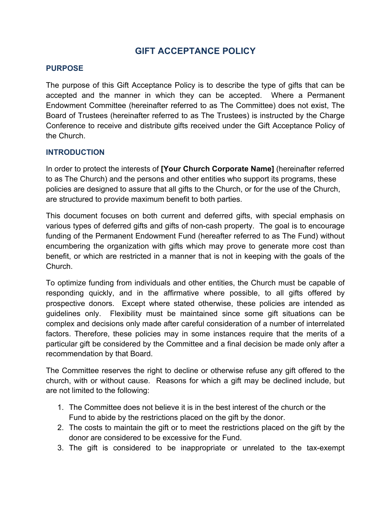# **GIFT ACCEPTANCE POLICY**

#### **PURPOSE**

The purpose of this Gift Acceptance Policy is to describe the type of gifts that can be accepted and the manner in which they can be accepted. Where a Permanent Endowment Committee (hereinafter referred to as The Committee) does not exist, The Board of Trustees (hereinafter referred to as The Trustees) is instructed by the Charge Conference to receive and distribute gifts received under the Gift Acceptance Policy of the Church.

#### **INTRODUCTION**

In order to protect the interests of **[Your Church Corporate Name]** (hereinafter referred to as The Church) and the persons and other entities who support its programs, these policies are designed to assure that all gifts to the Church, or for the use of the Church, are structured to provide maximum benefit to both parties.

This document focuses on both current and deferred gifts, with special emphasis on various types of deferred gifts and gifts of non-cash property. The goal is to encourage funding of the Permanent Endowment Fund (hereafter referred to as The Fund) without encumbering the organization with gifts which may prove to generate more cost than benefit, or which are restricted in a manner that is not in keeping with the goals of the Church.

To optimize funding from individuals and other entities, the Church must be capable of responding quickly, and in the affirmative where possible, to all gifts offered by prospective donors. Except where stated otherwise, these policies are intended as guidelines only. Flexibility must be maintained since some gift situations can be complex and decisions only made after careful consideration of a number of interrelated factors. Therefore, these policies may in some instances require that the merits of a particular gift be considered by the Committee and a final decision be made only after a recommendation by that Board.

The Committee reserves the right to decline or otherwise refuse any gift offered to the church, with or without cause. Reasons for which a gift may be declined include, but are not limited to the following:

- 1. The Committee does not believe it is in the best interest of the church or the Fund to abide by the restrictions placed on the gift by the donor.
- 2. The costs to maintain the gift or to meet the restrictions placed on the gift by the donor are considered to be excessive for the Fund.
- 3. The gift is considered to be inappropriate or unrelated to the tax-exempt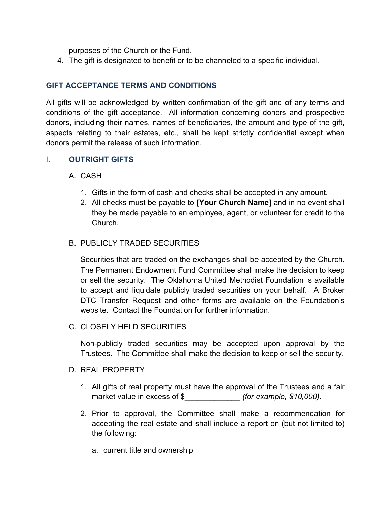purposes of the Church or the Fund.

4. The gift is designated to benefit or to be channeled to a specific individual.

## **GIFT ACCEPTANCE TERMS AND CONDITIONS**

All gifts will be acknowledged by written confirmation of the gift and of any terms and conditions of the gift acceptance. All information concerning donors and prospective donors, including their names, names of beneficiaries, the amount and type of the gift, aspects relating to their estates, etc., shall be kept strictly confidential except when donors permit the release of such information.

### I. **OUTRIGHT GIFTS**

### A. CASH

- 1. Gifts in the form of cash and checks shall be accepted in any amount.
- 2. All checks must be payable to **[Your Church Name]** and in no event shall they be made payable to an employee, agent, or volunteer for credit to the Church.

#### B. PUBLICLY TRADED SECURITIES

Securities that are traded on the exchanges shall be accepted by the Church. The Permanent Endowment Fund Committee shall make the decision to keep or sell the security. The Oklahoma United Methodist Foundation is available to accept and liquidate publicly traded securities on your behalf. A Broker DTC Transfer Request and other forms are available on the Foundation's website. Contact the Foundation for further information.

#### C. CLOSELY HELD SECURITIES

Non-publicly traded securities may be accepted upon approval by the Trustees. The Committee shall make the decision to keep or sell the security.

#### D. REAL PROPERTY

- 1. All gifts of real property must have the approval of the Trustees and a fair market value in excess of \$  $($ for example, \$10,000).
- 2. Prior to approval, the Committee shall make a recommendation for accepting the real estate and shall include a report on (but not limited to) the following:
	- a. current title and ownership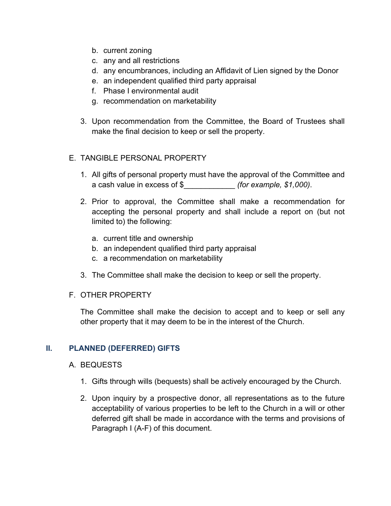- b. current zoning
- c. any and all restrictions
- d. any encumbrances, including an Affidavit of Lien signed by the Donor
- e. an independent qualified third party appraisal
- f. Phase I environmental audit
- g. recommendation on marketability
- 3. Upon recommendation from the Committee, the Board of Trustees shall make the final decision to keep or sell the property.

#### E. TANGIBLE PERSONAL PROPERTY

- 1. All gifts of personal property must have the approval of the Committee and a cash value in excess of \$\_\_\_\_\_\_\_\_\_\_\_\_ *(for example, \$1,000)*.
- 2. Prior to approval, the Committee shall make a recommendation for accepting the personal property and shall include a report on (but not limited to) the following:
	- a. current title and ownership
	- b. an independent qualified third party appraisal
	- c. a recommendation on marketability
- 3. The Committee shall make the decision to keep or sell the property.

#### F. OTHER PROPERTY

The Committee shall make the decision to accept and to keep or sell any other property that it may deem to be in the interest of the Church.

#### **II. PLANNED (DEFERRED) GIFTS**

#### A. BEQUESTS

- 1. Gifts through wills (bequests) shall be actively encouraged by the Church.
- 2. Upon inquiry by a prospective donor, all representations as to the future acceptability of various properties to be left to the Church in a will or other deferred gift shall be made in accordance with the terms and provisions of Paragraph I (A-F) of this document.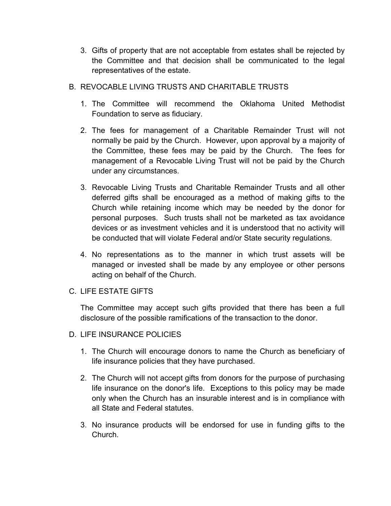- 3. Gifts of property that are not acceptable from estates shall be rejected by the Committee and that decision shall be communicated to the legal representatives of the estate.
- B. REVOCABLE LIVING TRUSTS AND CHARITABLE TRUSTS
	- 1. The Committee will recommend the Oklahoma United Methodist Foundation to serve as fiduciary.
	- 2. The fees for management of a Charitable Remainder Trust will not normally be paid by the Church. However, upon approval by a majority of the Committee, these fees may be paid by the Church. The fees for management of a Revocable Living Trust will not be paid by the Church under any circumstances.
	- 3. Revocable Living Trusts and Charitable Remainder Trusts and all other deferred gifts shall be encouraged as a method of making gifts to the Church while retaining income which may be needed by the donor for personal purposes. Such trusts shall not be marketed as tax avoidance devices or as investment vehicles and it is understood that no activity will be conducted that will violate Federal and/or State security regulations.
	- 4. No representations as to the manner in which trust assets will be managed or invested shall be made by any employee or other persons acting on behalf of the Church.
- C. LIFE ESTATE GIFTS

The Committee may accept such gifts provided that there has been a full disclosure of the possible ramifications of the transaction to the donor.

- D. LIFE INSURANCE POLICIES
	- 1. The Church will encourage donors to name the Church as beneficiary of life insurance policies that they have purchased.
	- 2. The Church will not accept gifts from donors for the purpose of purchasing life insurance on the donor's life. Exceptions to this policy may be made only when the Church has an insurable interest and is in compliance with all State and Federal statutes.
	- 3. No insurance products will be endorsed for use in funding gifts to the Church.